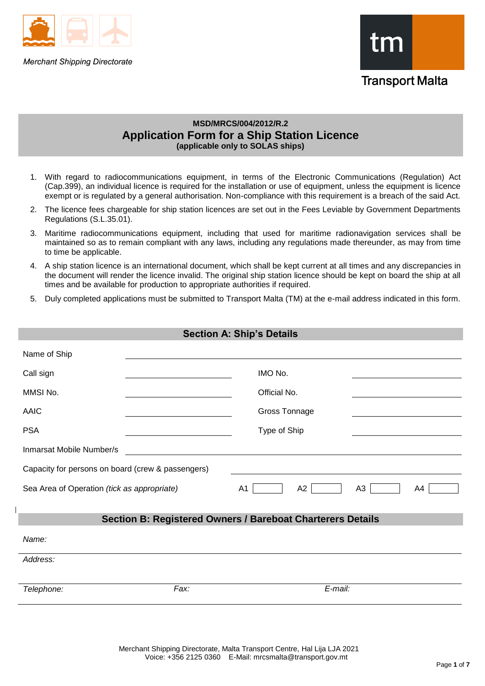

**Merchant Shipping Directorate** 



# **MSD/MRCS/004/2012/R.2 Application Form for a Ship Station Licence (applicable only to SOLAS ships)**

- 1. With regard to radiocommunications equipment, in terms of the Electronic Communications (Regulation) Act (Cap.399), an individual licence is required for the installation or use of equipment, unless the equipment is licence exempt or is regulated by a general authorisation. Non-compliance with this requirement is a breach of the said Act.
- 2. The licence fees chargeable for ship station licences are set out in the Fees Leviable by Government Departments Regulations (S.L.35.01).
- 3. Maritime radiocommunications equipment, including that used for maritime radionavigation services shall be maintained so as to remain compliant with any laws, including any regulations made thereunder, as may from time to time be applicable.
- 4. A ship station licence is an international document, which shall be kept current at all times and any discrepancies in the document will render the licence invalid. The original ship station licence should be kept on board the ship at all times and be available for production to appropriate authorities if required.
- 5. Duly completed applications must be submitted to Transport Malta (TM) at the e-mail address indicated in this form.

|                                                   |      | <b>Section A: Ship's Details</b>                                  |  |
|---------------------------------------------------|------|-------------------------------------------------------------------|--|
| Name of Ship                                      |      |                                                                   |  |
| Call sign                                         |      | IMO No.                                                           |  |
| MMSI No.                                          |      | Official No.                                                      |  |
| <b>AAIC</b>                                       |      | Gross Tonnage                                                     |  |
| <b>PSA</b>                                        |      | Type of Ship                                                      |  |
| Inmarsat Mobile Number/s                          |      |                                                                   |  |
| Capacity for persons on board (crew & passengers) |      |                                                                   |  |
| Sea Area of Operation (tick as appropriate)       |      | A <sub>1</sub><br>A2<br>A3<br>A4                                  |  |
|                                                   |      |                                                                   |  |
|                                                   |      | <b>Section B: Registered Owners / Bareboat Charterers Details</b> |  |
| Name:                                             |      |                                                                   |  |
| Address:                                          |      |                                                                   |  |
|                                                   |      |                                                                   |  |
| Telephone:                                        | Fax: | E-mail:                                                           |  |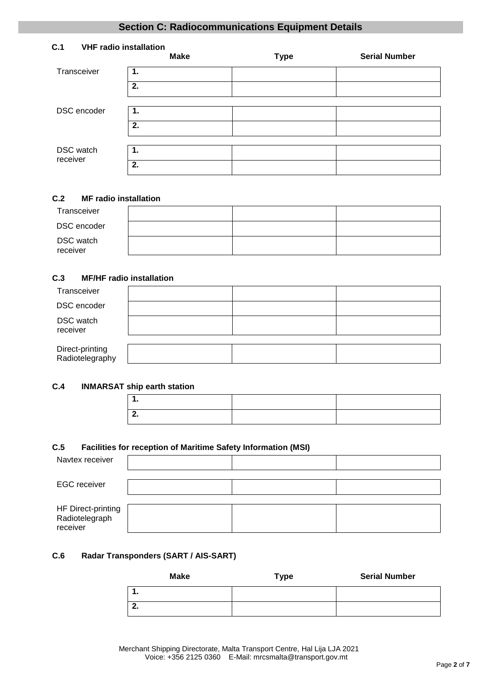# **Section C: Radiocommunications Equipment Details**

| C.1                   | <b>VHF radio installation</b><br><b>Make</b> | <b>Type</b> | <b>Serial Number</b> |
|-----------------------|----------------------------------------------|-------------|----------------------|
| Transceiver           | 1.                                           |             |                      |
|                       | 2.                                           |             |                      |
| DSC encoder           | 1.                                           |             |                      |
|                       |                                              |             |                      |
|                       | 2.                                           |             |                      |
|                       |                                              |             |                      |
| DSC watch<br>receiver | 1.                                           |             |                      |
|                       | 2.                                           |             |                      |

## **C.2 MF radio installation**

| Transceiver           |  |  |
|-----------------------|--|--|
| DSC encoder           |  |  |
| DSC watch<br>receiver |  |  |

# **C.3 MF/HF radio installation**

| Transceiver                        |  |  |
|------------------------------------|--|--|
| DSC encoder                        |  |  |
| DSC watch<br>receiver              |  |  |
|                                    |  |  |
| Direct-printing<br>Radiotelegraphy |  |  |

## **C.4 INMARSAT ship earth station**

# **C.5 Facilities for reception of Maritime Safety Information (MSI)**

| Navtex receiver                                  |  |  |
|--------------------------------------------------|--|--|
| <b>EGC</b> receiver                              |  |  |
| HF Direct-printing<br>Radiotelegraph<br>receiver |  |  |

# **C.6 Radar Transponders (SART / AIS-SART)**

| Make | <b>Type</b> | <b>Serial Number</b> |
|------|-------------|----------------------|
| . .  |             |                      |
| . .  |             |                      |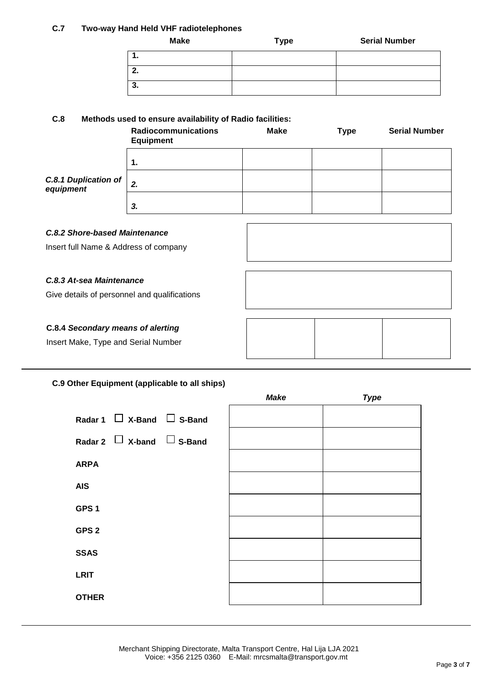## **C.7 Two-way Hand Held VHF radiotelephones**

| <b>Make</b> | <b>Type</b> | <b>Serial Number</b> |
|-------------|-------------|----------------------|
|             |             |                      |
| 2.          |             |                      |
| 3.          |             |                      |

# **C.8 Methods used to ensure availability of Radio facilities:**

|                                          | <b>Radiocommunications</b><br><b>Equipment</b> | <b>Make</b> | <b>Type</b> | <b>Serial Number</b> |
|------------------------------------------|------------------------------------------------|-------------|-------------|----------------------|
|                                          | 1.                                             |             |             |                      |
| <b>C.8.1 Duplication of</b><br>equipment | 2.                                             |             |             |                      |
|                                          | 3.                                             |             |             |                      |

## *C.8.2 Shore-based Maintenance*

Insert full Name & Address of company

## *C.8.3 At-sea Maintenance*

Give details of personnel and qualifications

# **C.8.4** *Secondary means of alerting*

Insert Make, Type and Serial Number

# **C.9 Other Equipment (applicable to all ships)**

|                                     | <b>Make</b> | <b>Type</b> |
|-------------------------------------|-------------|-------------|
| Radar 1 $\Box$ X-Band $\Box$ S-Band |             |             |
| Radar 2 $\Box$ X-band $\Box$ S-Band |             |             |
| <b>ARPA</b>                         |             |             |
| <b>AIS</b>                          |             |             |
| GPS <sub>1</sub>                    |             |             |
| GPS <sub>2</sub>                    |             |             |
| <b>SSAS</b>                         |             |             |
| <b>LRIT</b>                         |             |             |
| <b>OTHER</b>                        |             |             |
|                                     |             |             |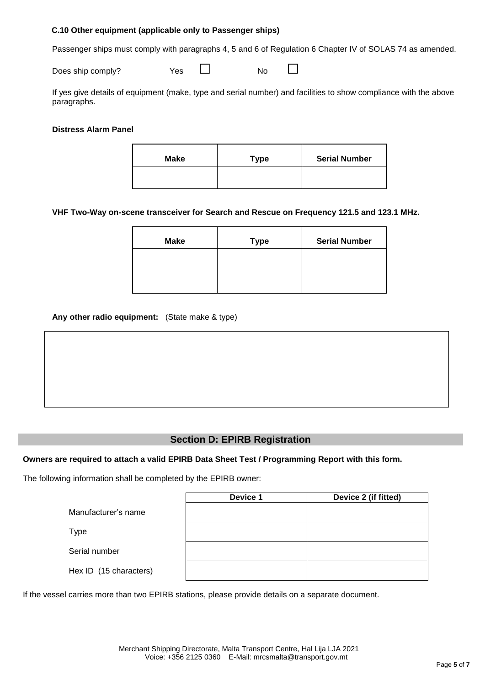### **C.10 Other equipment (applicable only to Passenger ships)**

Passenger ships must comply with paragraphs 4, 5 and 6 of Regulation 6 Chapter IV of SOLAS 74 as amended.

Does ship comply? Yes □ No □

If yes give details of equipment (make, type and serial number) and facilities to show compliance with the above paragraphs.

## **Distress Alarm Panel**

| Make | <b>Type</b> | <b>Serial Number</b> |
|------|-------------|----------------------|
|      |             |                      |

## **VHF Two-Way on-scene transceiver for Search and Rescue on Frequency 121.5 and 123.1 MHz.**

| <b>Make</b> | Type | <b>Serial Number</b> |
|-------------|------|----------------------|
|             |      |                      |
|             |      |                      |

## **Any other radio equipment:** (State make & type)

# **Section D: EPIRB Registration**

### **Owners are required to attach a valid EPIRB Data Sheet Test / Programming Report with this form.**

The following information shall be completed by the EPIRB owner:

|                        | Device 1 | Device 2 (if fitted) |
|------------------------|----------|----------------------|
| Manufacturer's name    |          |                      |
| Type                   |          |                      |
| Serial number          |          |                      |
| Hex ID (15 characters) |          |                      |

If the vessel carries more than two EPIRB stations, please provide details on a separate document.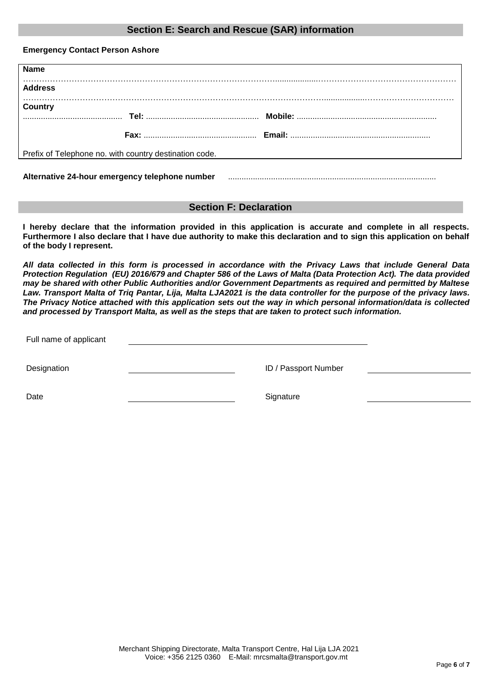# **Section E: Search and Rescue (SAR) information**

**Emergency Contact Person Ashore**

| <b>Name</b>                                            |  |                                                                                                                     |
|--------------------------------------------------------|--|---------------------------------------------------------------------------------------------------------------------|
|                                                        |  |                                                                                                                     |
| <b>Address</b>                                         |  |                                                                                                                     |
|                                                        |  |                                                                                                                     |
| Country                                                |  |                                                                                                                     |
|                                                        |  |                                                                                                                     |
|                                                        |  |                                                                                                                     |
|                                                        |  |                                                                                                                     |
| Prefix of Telephone no. with country destination code. |  |                                                                                                                     |
|                                                        |  |                                                                                                                     |
|                                                        |  |                                                                                                                     |
|                                                        |  | Alternative 24-hour emergency telephone number material contains and alternative 24-hour emergency telephone number |

## **Section F: Declaration**

**I hereby declare that the information provided in this application is accurate and complete in all respects. Furthermore I also declare that I have due authority to make this declaration and to sign this application on behalf of the body I represent.** 

*All data collected in this form is processed in accordance with the Privacy Laws that include General Data Protection Regulation (EU) 2016/679 and Chapter 586 of the Laws of Malta (Data Protection Act). The data provided may be shared with other Public Authorities and/or Government Departments as required and permitted by Maltese Law. Transport Malta of Triq Pantar, Lija, Malta LJA2021 is the data controller for the purpose of the privacy laws. The Privacy Notice attached with this application sets out the way in which personal information/data is collected and processed by Transport Malta, as well as the steps that are taken to protect such information.*

Full name of applicant

Designation **ID** / Passport Number

Date Signature Signature